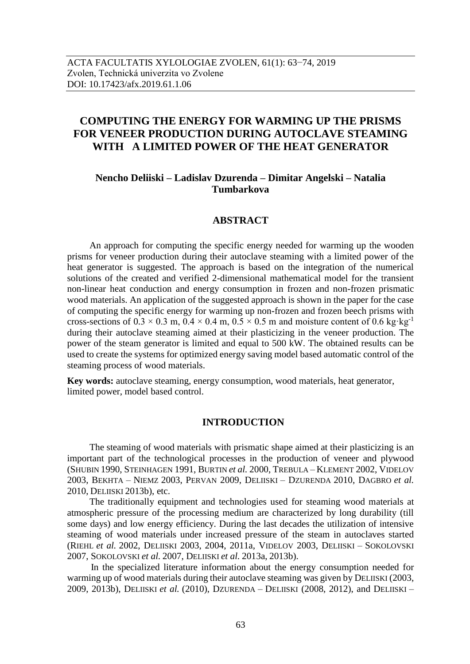# **COMPUTING THE ENERGY FOR WARMING UP THE PRISMS FOR VENEER PRODUCTION DURING AUTOCLAVE STEAMING WITH A LIMITED POWER OF THE HEAT GENERATOR**

## **Nencho Deliiski – Ladislav Dzurenda – Dimitar Angelski – Natalia Tumbarkova**

## **ABSTRACT**

An approach for computing the specific energy needed for warming up the wooden prisms for veneer production during their autoclave steaming with a limited power of the heat generator is suggested. The approach is based on the integration of the numerical solutions of the created and verified 2-dimensional mathematical model for the transient non-linear heat conduction and energy consumption in frozen and non-frozen prismatic wood materials. An application of the suggested approach is shown in the paper for the case of computing the specific energy for warming up non-frozen and frozen beech prisms with cross-sections of  $0.3 \times 0.3$  m,  $0.4 \times 0.4$  m,  $0.5 \times 0.5$  m and moisture content of 0.6 kg·kg<sup>-1</sup> during their autoclave steaming aimed at their plasticizing in the veneer production. The power of the steam generator is limited and equal to 500 kW. The obtained results can be used to create the systems for optimized energy saving model based automatic control of the steaming process of wood materials.

**Key words:** autoclave steaming, energy consumption, wood materials, heat generator, limited power, model based control.

## **INTRODUCTION**

The steaming of wood materials with prismatic shape aimed at their plasticizing is an important part of the technological processes in the production of veneer and plywood (SHUBIN 1990, STEINHAGEN 1991, BURTIN *et al.* 2000, TREBULA – KLEMENT 2002, VIDELOV 2003, BEKHTA – NIEMZ 2003, PERVAN 2009, DELIISKI – DZURENDA 2010, DAGBRO *et al.* 2010, DELIISKI 2013b), etc.

The traditionally equipment and technologies used for steaming wood materials at atmospheric pressure of the processing medium are characterized by long durability (till some days) and low energy efficiency. During the last decades the utilization of intensive steaming of wood materials under increased pressure of the steam in autoclaves started (RIEHL *et al.* 2002, DELIISKI 2003, 2004, 2011a, VIDELOV 2003, DELIISKI – SOKOLOVSKI 2007, SOKOLOVSKI *et al.* 2007, DELIISKI *et al.* 2013a, 2013b).

 In the specialized literature information about the energy consumption needed for warming up of wood materials during their autoclave steaming was given by DELIISKI (2003, 2009, 2013b), DELIISKI *et al.* (2010), DZURENDA – DELIISKI (2008, 2012), and DELIISKI –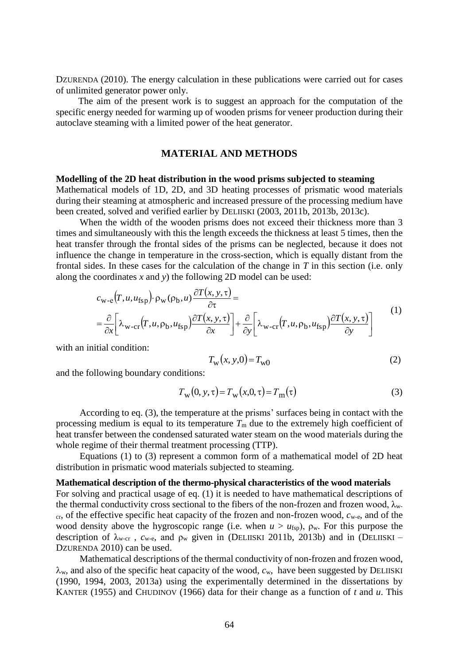DZURENDA (2010). The energy calculation in these publications were carried out for cases of unlimited generator power only.

The aim of the present work is to suggest an approach for the computation of the specific energy needed for warming up of wooden prisms for veneer production during their autoclave steaming with a limited power of the heat generator.

## **MATERIAL AND METHODS**

#### **Modelling of the 2D heat distribution in the wood prisms subjected to steaming**

Mathematical models of 1D, 2D, and 3D heating processes of prismatic wood materials during their steaming at atmospheric and increased pressure of the processing medium have been created, solved and verified earlier by DELIISKI (2003, 2011b, 2013b, 2013c).

When the width of the wooden prisms does not exceed their thickness more than 3 times and simultaneously with this the length exceeds the thickness at least 5 times, then the heat transfer through the frontal sides of the prisms can be neglected, because it does not influence the change in temperature in the cross-section, which is equally distant from the frontal sides. In these cases for the calculation of the change in *T* in this section (i.e. only along the coordinates *x* and *y*) the following 2D model can be used:

$$
c_{\mathbf{w}\text{-}e}(T, u, u_{\text{fsp}}) \cdot \rho_{\mathbf{w}}(\rho_{\mathbf{b}}, u) \frac{\partial T(x, y, \tau)}{\partial \tau} =
$$
  
=  $\frac{\partial}{\partial x} \left[ \lambda_{\mathbf{w}\text{-}cr}(T, u, \rho_{\mathbf{b}}, u_{\text{fsp}}) \frac{\partial T(x, y, \tau)}{\partial x} \right] + \frac{\partial}{\partial y} \left[ \lambda_{\mathbf{w}\text{-}cr}(T, u, \rho_{\mathbf{b}}, u_{\text{fsp}}) \frac{\partial T(x, y, \tau)}{\partial y} \right]$  (1)

with an initial condition:

$$
T_{\rm w}(x, y, 0) = T_{\rm w0} \tag{2}
$$

and the following boundary conditions:

$$
T_{\mathbf{w}}(0, \mathbf{y}, \tau) = T_{\mathbf{w}}(x, 0, \tau) = T_{\mathbf{m}}(\tau)
$$
\n(3)

According to eq. (3), the temperature at the prisms' surfaces being in contact with the processing medium is equal to its temperature  $T<sub>m</sub>$  due to the extremely high coefficient of heat transfer between the condensed saturated water steam on the wood materials during the whole regime of their thermal treatment processing (TTP).

Equations (1) to (3) represent a common form of a mathematical model of 2D heat distribution in prismatic wood materials subjected to steaming.

#### **Mathematical description of the thermo-physical characteristics of the wood materials**

For solving and practical usage of eq. (1) it is needed to have mathematical descriptions of the thermal conductivity cross sectional to the fibers of the non-frozen and frozen wood,  $\lambda_{w}$ . cr, of the effective specific heat capacity of the frozen and non-frozen wood, *c*w-e, and of the wood density above the hygroscopic range (i.e. when  $u > u_{fsp}$ ),  $\rho_w$ . For this purpose the description of  $\lambda_{\text{w-cr}}$ ,  $c_{\text{w-e}}$ , and  $\rho_{\text{w}}$  given in (DELIISKI 2011b, 2013b) and in (DELIISKI – DZURENDA 2010) can be used.

Mathematical descriptions of the thermal conductivity of non-frozen and frozen wood,  $\lambda_{w}$ , and also of the specific heat capacity of the wood,  $c_{w}$ , have been suggested by DELIISKI (1990, 1994, 2003, 2013a) using the experimentally determined in the dissertations by KANTER (1955) and CHUDINOV (1966) data for their change as a function of *t* and *u*. This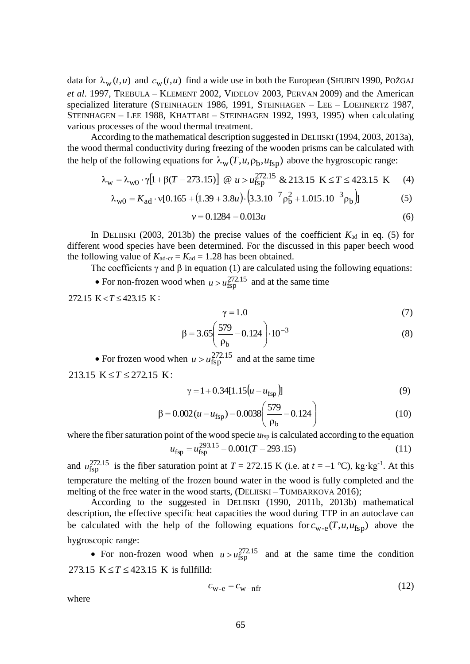data for  $\lambda_w(t, u)$  and  $c_w(t, u)$  find a wide use in both the European (SHUBIN 1990, POŽGAJ *et al*. 1997, TREBULA – KLEMENT 2002, VIDELOV 2003, PERVAN 2009) and the American specialized literature (STEINHAGEN 1986, 1991, STEINHAGEN – LEE – LOEHNERTZ 1987, STEINHAGEN – LEE 1988, KHATTABI – STEINHAGEN 1992, 1993, 1995) when calculating various processes of the wood thermal treatment.

According to the mathematical description suggested in DELIISKI (1994, 2003, 2013a), the wood thermal conductivity during freezing of the wooden prisms can be calculated with the help of the following equations for  $\lambda_w(T, u, \rho_b, u_{fsp})$  above the hygroscopic range:

$$
\lambda_{\rm w} = \lambda_{\rm w0} \cdot \gamma \left[ 1 + \beta (T - 273.15) \right] \quad \text{or} \quad u > u_{\rm fsp}^{272.15} \quad \text{&} \quad 213.15 \quad \text{K} \le T \le 423.15 \quad \text{K} \tag{4}
$$

$$
\lambda_{\rm w0} = K_{\rm ad} \cdot v[0.165 + (1.39 + 3.8u) \cdot (3.3.10^{-7} \rho_b^2 + 1.015.10^{-3} \rho_b)]
$$
 (5)

$$
v = 0.1284 - 0.013u\tag{6}
$$

In DELIISKI (2003, 2013b) the precise values of the coefficient  $K_{ad}$  in eq. (5) for different wood species have been determined. For the discussed in this paper beech wood the following value of  $K_{\text{ad-cr}} = K_{\text{ad}} = 1.28$  has been obtained.

The coefficients  $\gamma$  and  $\beta$  in equation (1) are calculated using the following equations:

• For non-frozen wood when  $u > u_{\text{fsp}}^{272.15}$  and at the same time

 $272.15 \text{ K} < T \leq 423.15 \text{ K}$ :

$$
\gamma = 1.0\tag{7}
$$

$$
\beta = 3.65 \left( \frac{579}{\rho_b} - 0.124 \right) \cdot 10^{-3} \tag{8}
$$

• For frozen wood when  $u > u_{\text{fsp}}^{272.15}$  and at the same time 213.15  $K \le T \le 272.15$  K:

$$
\gamma = 1 + 0.34[1.15(u - u_{\text{fsp}})]
$$
\n(9)

$$
\beta = 0.002(u - u_{\text{fsp}}) - 0.0038 \left( \frac{579}{\rho_b} - 0.124 \right)
$$
 (10)

where the fiber saturation point of the wood specie  $u_{fsp}$  is calculated according to the equation  $u_{\text{fsp}} = u_{\text{fsp}}^{293.15} - 0.001(T - 293.15)$  (11)

and  $u_{\text{fsp}}^{272.15}$  is the fiber saturation point at  $T = 272.15 \text{ K}$  (i.e. at  $t = -1 \text{ }^{\circ}\text{C}$ ), kg·kg<sup>-1</sup>. At this temperature the melting of the frozen bound water in the wood is fully completed and the melting of the free water in the wood starts, (DELIISKI – TUMBARKOVA 2016);

According to the suggested in DELIISKI (1990, 2011b, 2013b) mathematical description, the effective specific heat capacities the wood during TTP in an autoclave can be calculated with the help of the following equations for  $c_{w-e}(T, u, u_{fsp})$  above the hygroscopic range:

• For non-frozen wood when  $u > u_{\text{fsp}}^{272.15}$  and at the same time the condition 273.15  $K \le T \le 423.15$  K is fullfilld:

$$
c_{\rm w-e} = c_{\rm w-nfr} \tag{12}
$$

where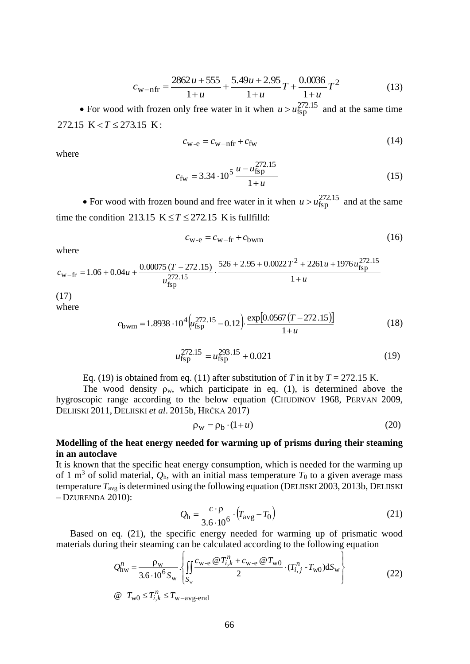$$
c_{\text{w-nfr}} = \frac{2862u + 555}{1+u} + \frac{5.49u + 2.95}{1+u}T + \frac{0.0036}{1+u}T^2
$$
(13)

• For wood with frozen only free water in it when  $u > u_{\text{fsp}}^{272.15}$  and at the same time 272.15 K  $< T \le 273.15$  K:

$$
c_{\rm w-e} = c_{\rm w-nfr} + c_{\rm fw} \tag{14}
$$

where

$$
c_{\text{fw}} = 3.34 \cdot 10^5 \frac{u - u_{\text{fsp}}^{272.15}}{1 + u}
$$
 (15)

• For wood with frozen bound and free water in it when  $u > u_{\text{fsp}}^{272.15}$  and at the same time the condition 213.15  $K \le T \le 272.15$  K is fullfilld:

$$
c_{\rm w-e} = c_{\rm w-fr} + c_{\rm bwm} \tag{16}
$$

where

$$
c_{\text{w-fr}} = 1.06 + 0.04u + \frac{0.00075 (T - 272.15)}{u_{\text{fsp}}^{272.15}} \cdot \frac{526 + 2.95 + 0.0022 T^2 + 2261u + 1976u_{\text{fsp}}^{272.15}}{1 + u}
$$
\n(17)

where

$$
c_{\text{bwm}} = 1.8938 \cdot 10^4 \left( \mu_{\text{fsp}}^{272.15} - 0.12 \right) \cdot \frac{\exp[0.0567 \left( T - 272.15 \right)]}{1 + u} \tag{18}
$$

$$
u_{\text{fsp}}^{272.15} = u_{\text{fsp}}^{293.15} + 0.021\tag{19}
$$

Eq. (19) is obtained from eq. (11) after substitution of 
$$
T
$$
 in it by  $T = 272.15$  K.

The wood density  $\rho_w$ , which participate in eq. (1), is determined above the hygroscopic range according to the below equation (CHUDINOV 1968, PERVAN 2009, DELIISKI 2011, DELIISKI *et al*. 2015b, HRČKA 2017)

$$
\rho_{\rm w} = \rho_{\rm b} \cdot (1 + u) \tag{20}
$$

## **Modelling of the heat energy needed for warming up of prisms during their steaming in an autoclave**

It is known that the specific heat energy consumption, which is needed for the warming up of 1 m<sup>3</sup> of solid material,  $Q_h$ , with an initial mass temperature  $T_0$  to a given average mass temperature  $T_{avg}$  is determined using the following equation (DELIISKI 2003, 2013b, DELIISKI – DZURENDA 2010):

$$
Q_{\rm h} = \frac{c \cdot \rho}{3.6 \cdot 10^6} \cdot \left( T_{\rm avg} - T_0 \right) \tag{21}
$$

Based on eq. (21), the specific energy needed for warming up of prismatic wood

materials during their steaming can be calculated according to the following equation  
\n
$$
Q_{\text{hw}}^n = \frac{\rho_{\text{w}}}{3.6 \cdot 10^6 S_{\text{w}}} \left\{ \iint_{S_{\text{w}}} \frac{c_{\text{w-e}} \omega T_{i,k}^n + c_{\text{w-e}} \omega T_{\text{w0}}}{2} \cdot (T_{i,j}^n - T_{\text{w0}}) dS_{\text{w}} \right\}
$$
\n(22)

 $\omega$   $T_{\text{w0}} \leq T_{i,k}^n \leq T_{\text{w-avg-end}}$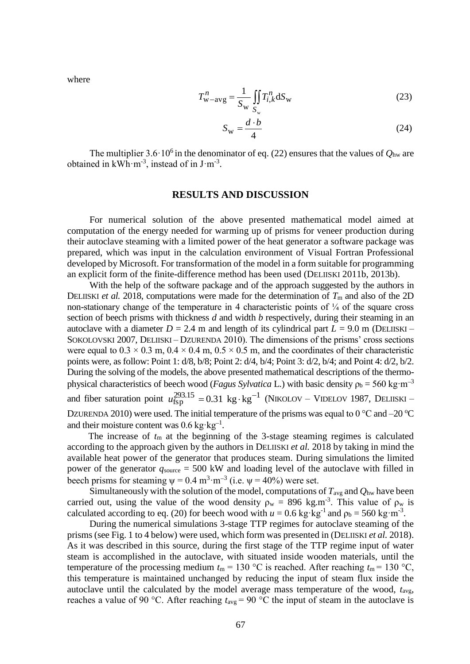$-\text{avg} = \frac{1}{S_{\text{max}}} \iint T_{i,k}^{n} dS_{\text{w}}$ w  $w\text{-avg} = \frac{1}{s} \iint T_{i,k}^{n} d$ *S n i k*  $\frac{n}{w - avg} = \frac{1}{g} \iint T_{i,k}^{n} dS$ *S*  $T_{\text{w-avg}}^n = \frac{1}{g} \left| \int T_{i,k}^n dS_{\text{w}} \right|$  (23)

$$
S_{\rm w} = \frac{d \cdot b}{4} \tag{24}
$$

The multiplier  $3.6 \cdot 10^6$  in the denominator of eq. (22) ensures that the values of  $Q_{\text{hw}}$  are obtained in  $kWh·m<sup>-3</sup>$ , instead of in  $J·m<sup>-3</sup>$ .

#### **RESULTS AND DISCUSSION**

For numerical solution of the above presented mathematical model aimed at computation of the energy needed for warming up of prisms for veneer production during their autoclave steaming with a limited power of the heat generator a software package was prepared, which was input in the calculation environment of Visual Fortran Professional developed by Microsoft. For transformation of the model in a form suitable for programming an explicit form of the finite-difference method has been used (DELIISKI 2011b, 2013b).

With the help of the software package and of the approach suggested by the authors in DELIISKI *et al.* 2018, computations were made for the determination of  $T<sub>m</sub>$  and also of the 2D non-stationary change of the temperature in 4 characteristic points of  $\frac{1}{4}$  of the square cross section of beech prisms with thickness *d* and width *b* respectively, during their steaming in an autoclave with a diameter  $D = 2.4$  m and length of its cylindrical part  $L = 9.0$  m (DELIISKI – SOKOLOVSKI 2007, DELIISKI – DZURENDA 2010). The dimensions of the prisms' cross sections were equal to  $0.3 \times 0.3$  m,  $0.4 \times 0.4$  m,  $0.5 \times 0.5$  m, and the coordinates of their characteristic points were, as follow: Point 1: d/8, b/8; Point 2: d/4, b/4; Point 3: d/2, b/4; and Point 4: d/2, b/2. During the solving of the models, the above presented mathematical descriptions of the thermophysical characteristics of beech wood (*Fagus Sylvatica* L.) with basic density  $\rho_b = 560 \text{ kg} \cdot \text{m}^{-3}$ and fiber saturation point  $u_{\text{fsp}}^{293.15} = 0.31 \text{ kg} \cdot \text{kg}^{-1}$  (NIKOLOV – VIDELOV 1987, DELIISKI – DZURENDA 2010) were used. The initial temperature of the prisms was equal to 0  $\rm{^{\circ}C}$  and –20  $\rm{^{\circ}C}$ and their moisture content was  $0.6 \text{ kg} \cdot \text{kg}^{-1}$ .

The increase of *t*<sup>m</sup> at the beginning of the 3-stage steaming regimes is calculated according to the approach given by the authors in DELIISKI *et al.* 2018 by taking in mind the available heat power of the generator that produces steam. During simulations the limited power of the generator  $q_{source} = 500$  kW and loading level of the autoclave with filled in beech prisms for steaming  $\psi = 0.4 \text{ m}^3 \cdot \text{m}^{-3}$  (i.e.  $\psi = 40\%$ ) were set.

Simultaneously with the solution of the model, computations of  $T_{\text{avg}}$  and  $Q_{\text{hw}}$  have been carried out, using the value of the wood density  $\rho_w = 896 \text{ kg.m}^3$ . This value of  $\rho_w$  is calculated according to eq. (20) for beech wood with  $u = 0.6$  kg·kg<sup>-1</sup> and  $\rho_b = 560$  kg·m<sup>-3</sup>.

During the numerical simulations 3-stage TTP regimes for autoclave steaming of the prisms (see Fig. 1 to 4 below) were used, which form was presented in (DELIISKI *et al.* 2018). As it was described in this source, during the first stage of the TTP regime input of water steam is accomplished in the autoclave, with situated inside wooden materials, until the temperature of the processing medium  $t_m = 130$  °C is reached. After reaching  $t_m = 130$  °C, this temperature is maintained unchanged by reducing the input of steam flux inside the autoclave until the calculated by the model average mass temperature of the wood, *t*avg, reaches a value of 90 °C. After reaching  $t_{\text{avg}} = 90$  °C the input of steam in the autoclave is

where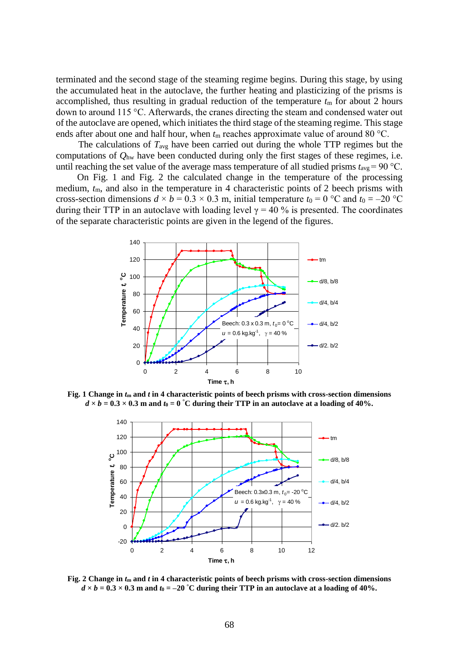terminated and the second stage of the steaming regime begins. During this stage, by using the accumulated heat in the autoclave, the further heating and plasticizing of the prisms is accomplished, thus resulting in gradual reduction of the temperature  $t<sub>m</sub>$  for about 2 hours down to around 115 °C. Afterwards, the cranes directing the steam and condensed water out of the autoclave are opened, which initiates the third stage of the steaming regime. This stage ends after about one and half hour, when  $t_m$  reaches approximate value of around 80 °C.

The calculations of *T*avg have been carried out during the whole TTP regimes but the computations of *Q*hw have been conducted during only the first stages of these regimes, i.e. until reaching the set value of the average mass temperature of all studied prisms  $t_{\text{avg}} = 90 \text{ °C}$ .

On Fig. 1 and Fig. 2 the calculated change in the temperature of the processing medium,  $t<sub>m</sub>$ , and also in the temperature in 4 characteristic points of 2 beech prisms with cross-section dimensions  $d \times b = 0.3 \times 0.3$  m, initial temperature  $t_0 = 0$  °C and  $t_0 = -20$  °C during their TTP in an autoclave with loading level  $\gamma = 40$  % is presented. The coordinates of the separate characteristic points are given in the legend of the figures.



**Fig. 1 Change in**  $t_m$  **and** *t* **in 4 characteristic points of beech prisms with cross-section dimensions**  $d \times b = 0.3 \times 0.3$  m and  $t_0 = 0$  °C during their TTP in an autoclave at a loading of 40%.



**Fig. 2 Change in** *t***<sup>m</sup> and** *t* **in 4 characteristic points of beech prisms with cross-section dimensions**   $d \times b = 0.3 \times 0.3$  m and  $t_0 = -20$  °C during their TTP in an autoclave at a loading of 40%.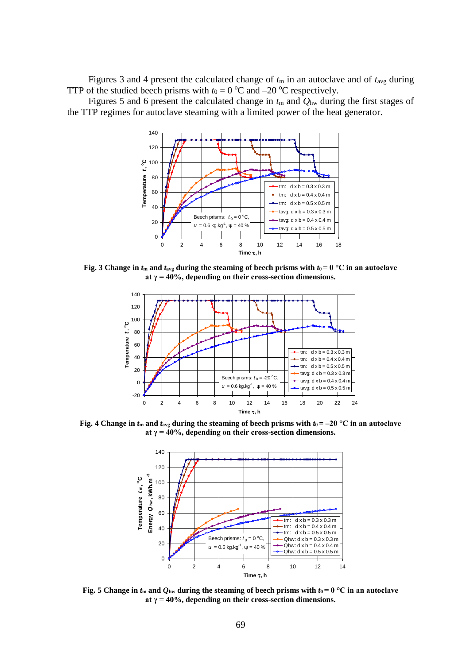Figures 3 and 4 present the calculated change of  $t<sub>m</sub>$  in an autoclave and of  $t<sub>avg</sub>$  during TTP of the studied beech prisms with  $t_0 = 0$  °C and –20 °C respectively.

 Figures 5 and 6 present the calculated change in *t*<sup>m</sup> and *Q*hw during the first stages of the TTP regimes for autoclave steaming with a limited power of the heat generator.



**Fig. 3** Change in  $t_m$  and  $t_{avg}$  during the steaming of beech prisms with  $t_0 = 0$  °C in an autoclave **at γ = 40%, depending on their cross-section dimensions.**



**Fig. 4** Change in  $t_m$  and  $t_{avg}$  during the steaming of beech prisms with  $t_0 = -20$  °C in an autoclave **at γ = 40%, depending on their cross-section dimensions.**



**Fig. 5** Change in  $t_m$  and  $Q_{\text{hw}}$  during the steaming of beech prisms with  $t_0 = 0$  °C in an autoclave **at γ = 40%, depending on their cross-section dimensions.**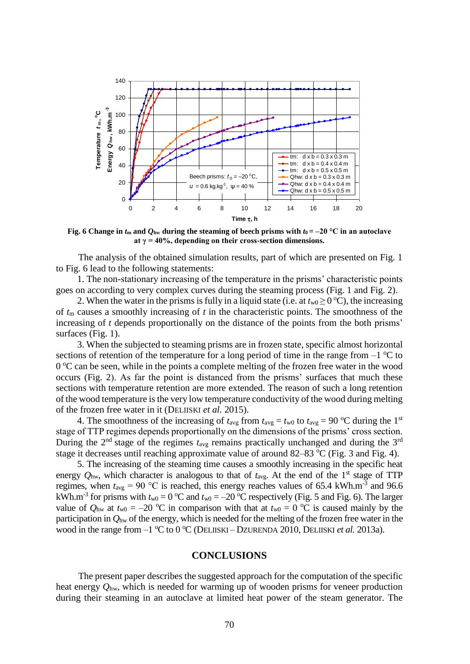

**Fig. 6** Change in  $t_m$  and  $Q_{hw}$  during the steaming of beech prisms with  $t_0 = -20$  °C in an autoclave **at γ = 40%, depending on their cross-section dimensions.**

The analysis of the obtained simulation results, part of which are presented on Fig. 1 to Fig. 6 lead to the following statements:

1. The non-stationary increasing of the temperature in the prisms' characteristic points goes on according to very complex curves during the steaming process (Fig. 1 and Fig. 2).

2. When the water in the prisms is fully in a liquid state (i.e. at  $t_{w0} \ge 0^{\circ}$ C), the increasing of *t*<sup>m</sup> causes a smoothly increasing of *t* in the characteristic points. The smoothness of the increasing of *t* depends proportionally on the distance of the points from the both prisms' surfaces (Fig. 1).

3. When the subjected to steaming prisms are in frozen state, specific almost horizontal sections of retention of the temperature for a long period of time in the range from  $-1$  °C to 0 °C can be seen, while in the points a complete melting of the frozen free water in the wood occurs (Fig. 2). As far the point is distanced from the prisms' surfaces that much these sections with temperature retention are more extended. The reason of such a long retention of the wood temperature is the very low temperature conductivity of the wood during melting of the frozen free water in it (DELIISKI *et al.* 2015).

4. The smoothness of the increasing of  $t_{avg}$  from  $t_{avg} = t_{w0}$  to  $t_{avg} = 90$  °C during the 1<sup>st</sup> stage of TTP regimes depends proportionally on the dimensions of the prisms' cross section. During the 2<sup>nd</sup> stage of the regimes  $t_{\text{avg}}$  remains practically unchanged and during the 3<sup>rd</sup> stage it decreases until reaching approximate value of around  $82-83$  °C (Fig. 3 and Fig. 4).

5. The increasing of the steaming time causes a smoothly increasing in the specific heat energy  $Q_{\text{hw}}$ , which character is analogous to that of  $t_{\text{avg}}$ . At the end of the 1<sup>st</sup> stage of TTP regimes, when  $t_{\text{avg}} = 90$  °C is reached, this energy reaches values of 65.4 kWh.m<sup>-3</sup> and 96.6 kWh.m<sup>-3</sup> for prisms with  $t_{w0} = 0$  °C and  $t_{w0} = -20$  °C respectively (Fig. 5 and Fig. 6). The larger value of  $Q_{\text{hw}}$  at  $t_{\text{w0}} = -20$  °C in comparison with that at  $t_{\text{w0}} = 0$  °C is caused mainly by the participation in *Q*hw of the energy, which is needed for the melting of the frozen free water in the wood in the range from  $-1$  <sup>o</sup>C to 0 <sup>o</sup>C (DELIISKI – DZURENDA 2010, DELIISKI *et al.* 2013a).

#### **CONCLUSIONS**

The present paper describes the suggested approach for the computation of the specific heat energy *Q*hw, which is needed for warming up of wooden prisms for veneer production during their steaming in an autoclave at limited heat power of the steam generator. The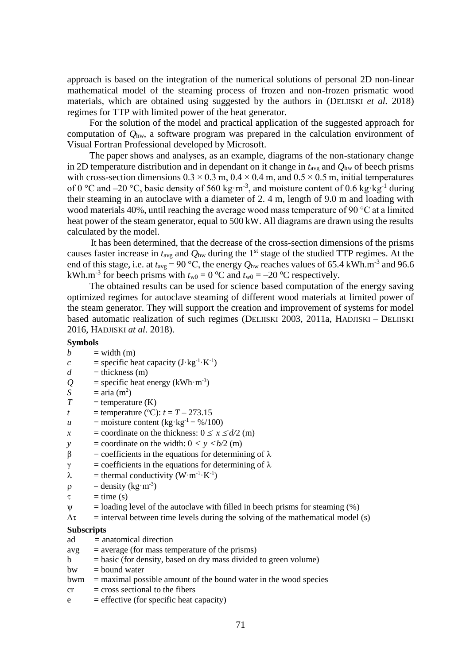approach is based on the integration of the numerical solutions of personal 2D non-linear mathematical model of the steaming process of frozen and non-frozen prismatic wood materials, which are obtained using suggested by the authors in (DELIISKI *et al.* 2018) regimes for TTP with limited power of the heat generator.

For the solution of the model and practical application of the suggested approach for computation of *Q*hw, a software program was prepared in the calculation environment of Visual Fortran Professional developed by Microsoft.

The paper shows and analyses, as an example, diagrams of the non-stationary change in 2D temperature distribution and in dependant on it change in  $t_{avg}$  and  $Q_{hw}$  of beech prisms with cross-section dimensions  $0.3 \times 0.3$  m,  $0.4 \times 0.4$  m, and  $0.5 \times 0.5$  m, initial temperatures of 0 °C and -20 °C, basic density of 560 kg·m<sup>-3</sup>, and moisture content of 0.6 kg·kg<sup>-1</sup> during their steaming in an autoclave with a diameter of 2. 4 m, length of 9.0 m and loading with wood materials 40%, until reaching the average wood mass temperature of 90 °C at a limited heat power of the steam generator, equal to 500 kW. All diagrams are drawn using the results calculated by the model.

It has been determined, that the decrease of the cross-section dimensions of the prisms causes faster increase in *t*avg and *Q*hw during the 1st stage of the studied TTP regimes. At the end of this stage, i.e. at  $t_{avg} = 90$  °C, the energy  $Q_{hw}$  reaches values of 65.4 kWh.m<sup>-3</sup> and 96.6 kWh.m<sup>-3</sup> for beech prisms with  $t_{w0} = 0$  °C and  $t_{w0} = -20$  °C respectively.

The obtained results can be used for science based computation of the energy saving optimized regimes for autoclave steaming of different wood materials at limited power of the steam generator. They will support the creation and improvement of systems for model based automatic realization of such regimes (DELIISKI 2003, 2011a, HADJISKI – DELIISKI 2016, HADJISKI *at al*. 2018).

#### **Symbols**

- $b = width (m)$
- $c =$  specific heat capacity  $(J \cdot kg^{-1} \cdot K^{-1})$
- $d =$ thickness (m)
- $Q =$  specific heat energy (kWh·m<sup>-3</sup>)
- *S* = aria  $(m^2)$
- $T =$  temperature  $(K)$
- *t* = temperature (°C):  $t = T 273.15$
- *u* = moisture content ( $kg \cdot kg^{-1} = \frac{\frac{9}{100}}{100}$ )
- *x* = coordinate on the thickness:  $0 \le x \le d/2$  (m)
- *y* = coordinate on the width:  $0 \le y \le b/2$  (m)
- $β = coefficients in the equations for determining of  $λ$$
- $\gamma$  = coefficients in the equations for determining of  $\lambda$
- $\lambda$  = thermal conductivity (W·m<sup>-1</sup>·K<sup>-1</sup>)
- $\rho$  = density (kg·m<sup>-3</sup>)
- $\tau$  = time (s)
- $\psi$  = loading level of the autoclave with filled in beech prisms for steaming (%)
- $\Delta \tau$  = interval between time levels during the solving of the mathematical model (s)

## **Subscripts**

- ad *=* anatomical direction
- $avg = average (for mass temperature of the prisms)$
- $b = basic (for density, based on dry mass divided to green volume)$
- $bw = bound water$
- $bwm =$  maximal possible amount of the bound water in the wood species
- $cr = \csc$  sectional to the fibers
- $e$  = effective (for specific heat capacity)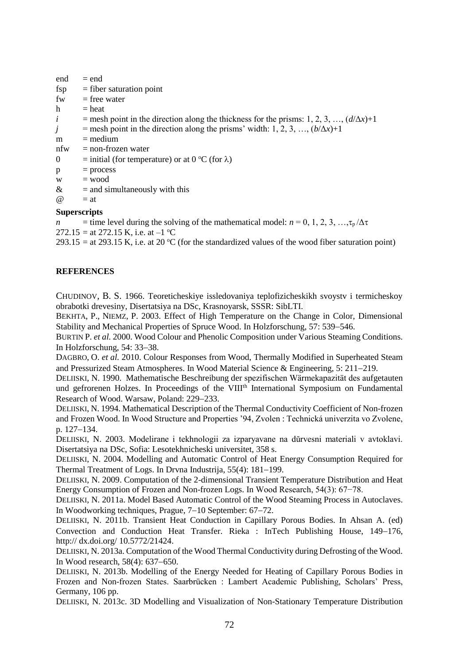| end            | $=$ end                                                                                       |
|----------------|-----------------------------------------------------------------------------------------------|
| fsp            | $=$ fiber saturation point                                                                    |
| fw             | $=$ free water                                                                                |
| h              | $=$ heat                                                                                      |
| $\dot{i}$      | = mesh point in the direction along the thickness for the prisms: 1, 2, 3, , $(d/\Delta x)+1$ |
| $\dot{J}$      | = mesh point in the direction along the prisms' width: 1, 2, 3, , $(b/\Delta x)+1$            |
| m              | $=$ medium                                                                                    |
| nfw            | $=$ non-frozen water                                                                          |
| $\overline{0}$ | = initial (for temperature) or at $0^{\circ}C$ (for $\lambda$ )                               |
| $\mathbf{p}$   | $=$ process                                                                                   |
| W              | $=$ wood                                                                                      |
| &              | $=$ and simultaneously with this                                                              |
| $\omega$       | $=$ at                                                                                        |

#### **Superscripts**

*n* = time level during the solving of the mathematical model:  $n = 0, 1, 2, 3, \ldots, \tau_p/\Delta \tau$ 

272.15 = at 272.15 K, i.e. at  $-1$  °C

293.15 = at 293.15 K, i.e. at 20  $^{\circ}$ C (for the standardized values of the wood fiber saturation point)

#### **REFERENCES**

CHUDINOV, B. S. 1966. Teoreticheskiye issledovaniya teplofizicheskikh svoystv i termicheskoy obrabotki drevesiny, Disertatsiya na DSc, Krasnoyarsk, SSSR: SibLTI.

BEKHTA, P., NIEMZ, P. 2003. Effect of High Temperature on the Change in Color, Dimensional Stability and Mechanical Properties of Spruce Wood. In Holzforschung, 57: 539–546.

BURTIN P. *et al.* 2000. Wood Colour and Phenolic Composition under Various Steaming Conditions. In Holzforschung,  $54: 33-38$ .

DAGBRO, O. *et al.* 2010. Colour Responses from Wood, Thermally Modified in Superheated Steam and Pressurized Steam Atmospheres. In Wood Material Science & Engineering,  $5: 211-219$ .

DELIISKI, N. 1990. Mathematische Beschreibung der spezifischen Wärmekapazität des aufgetauten und gefrorenen Holzes. In Proceedings of the VIII<sup>th</sup> International Symposium on Fundamental Research of Wood. Warsaw, Poland: 229-233.

DELIISKI, N. 1994. Mathematical Description of the Thermal Conductivity Coefficient of Non-frozen and Frozen Wood. In Wood Structure and Properties '94, Zvolen : Technická univerzita vo Zvolene, p. 127-134.

DELIISKI, N. 2003. Modelirane i tekhnologii za izparyavane na dŭrvesni materiali v avtoklavi. Disertatsiya na DSc, Sofia: Lesotekhnicheski universitet, 358 s.

DELIISKI, N. 2004. Modelling and Automatic Control of Heat Energy Consumption Required for Thermal Treatment of Logs. In Drvna Industrija, 55(4): 181-199.

DELIISKI, N. 2009. Computation of the 2-dimensional Transient Temperature Distribution and Heat Energy Consumption of Frozen and Non-frozen Logs. In Wood Research, 54(3): 67−78.

DELIISKI, N. 2011a. Model Based Automatic Control of the Wood Steaming Process in Autoclaves. In Woodworking techniques, Prague, 7-10 September: 67-72.

DELIISKI, N. 2011b. Transient Heat Conduction in Capillary Porous Bodies. In Ahsan A. (ed) Convection and Conduction Heat Transfer. Rieka : InTech Publishing House, 149–176, http:// dx.doi.org/ 10.5772/21424.

DELIISKI, N. 2013a. Computation of the Wood Thermal Conductivity during Defrosting of the Wood. In Wood research,  $58(4)$ :  $637-650$ .

DELIISKI, N. 2013b. Modelling of the Energy Needed for Heating of Capillary Porous Bodies in Frozen and Non-frozen States. Saarbrücken : Lambert Academic Publishing, Scholars' Press, Germany, 106 pp.

DELIISKI, N. 2013c. 3D Modelling and Visualization of Non-Stationary Temperature Distribution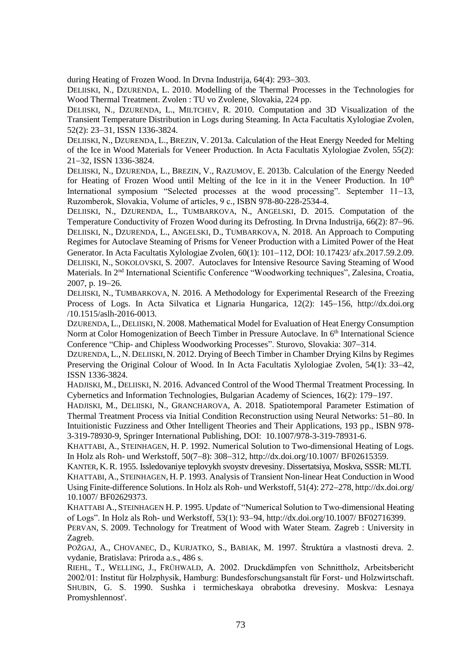during Heating of Frozen Wood. In Drvna Industrija, 64(4): 293–303.

DELIISKI, N., DZURENDA, L. 2010. Modelling of the Thermal Processes in the Technologies for Wood Thermal Treatment. Zvolen : TU vo Zvolene, Slovakia, 224 pp.

DELIISKI, N., DZURENDA, L., MILTCHEV, R. 2010. Computation and 3D Visualization of the Transient Temperature Distribution in Logs during Steaming. In Acta Facultatis Xylologiae Zvolen, 52(2): 23-31, ISSN 1336-3824.

DELIISKI, N., DZURENDA, L., BREZIN, V. 2013a. Calculation of the Heat Energy Needed for Melting of the Ice in Wood Materials for Veneer Production. In Acta Facultatis Xylologiae Zvolen, 55(2): 2132, ISSN 1336-3824.

DELIISKI, N., DZURENDA, L., BREZIN, V., RAZUMOV, E. 2013b. Calculation of the Energy Needed for Heating of Frozen Wood until Melting of the Ice in it in the Veneer Production. In  $10<sup>th</sup>$ International symposium "Selected processes at the wood processing". September  $11-13$ , Ruzomberok, Slovakia, Volume of articles, 9 с., ISBN 978-80-228-2534-4.

DELIISKI, N., DZURENDA, L., TUMBARKOVA, N., ANGELSKI, D. 2015. Computation of the Temperature Conductivity of Frozen Wood during its Defrosting. In Dryna Industrija, 66(2): 87–96. DELIISKI, N., DZURENDA, L., ANGELSKI, D., TUMBARKOVA, N. 2018. An Approach to Computing Regimes for Autoclave Steaming of Prisms for Veneer Production with a Limited Power of the Heat Generator. In Acta Facultatis Xylologiae Zvolen, 60(1): 101-112, DOI: 10.17423/ afx.2017.59.2.09. DELIISKI, N., SOKOLOVSKI, S. 2007. Autoclaves for Intensive Resource Saving Steaming of Wood Materials. In 2<sup>nd</sup> International Scientific Conference "Woodworking techniques", Zalesina, Croatia, 2007, p. 19-26.

DELIISKI, N., TUMBARKOVA, N. 2016. A Methodology for Experimental Research of the Freezing Process of Logs. In Acta Silvatica et Lignaria Hungarica, 12(2): 145–156, http://dx.doi.org /10.1515/aslh-2016-0013.

DZURENDA, L., DELIISKI, N. 2008. Mathematical Model for Evaluation of Heat Energy Consumption Norm at Color Homogenization of Beech Timber in Pressure Autoclave. In 6<sup>th</sup> International Science Conference "Chip- and Chipless Woodworking Processes". Sturovo, Slovakia: 307–314.

DZURENDA, L., N. DELIISKI, N. 2012. Drying of Beech Timber in Chamber Drying Kilns by Regimes Preserving the Original Colour of Wood. In In Acta Facultatis Xylologiae Zvolen, 54(1): 33–42, ISSN 1336-3824.

HADJISKI, M., DELIISKI, N. 2016. Advanced Control of the Wood Thermal Treatment Processing. In Cybernetics and Information Technologies, Bulgarian Academy of Sciences, 16(2): 179–197.

HADJISKI, M., DELIISKI, N., GRANCHAROVA, A. 2018. Spatiotemporal Parameter Estimation of Thermal Treatment Process via Initial Condition Reconstruction using Neural Networks: 51–80. In Intuitionistic Fuzziness and Other Intelligent Theories and Their Applications, 193 pp., ISBN 978- 3-319-78930-9, Springer International Publishing, DOI: 10.1007/978-3-319-78931-6.

KHATTABI, A., STEINHAGEN, H. P. 1992. Numerical Solution to Two-dimensional Heating of Logs. In Holz als Roh- und Werkstoff, 50(7-8): 308-312, [http://dx.doi.org/10.1007/ BF02615359.](http://dx.doi.org/10.1007/%20BF02615359)

KANTER, K.R. 1955. Issledovaniye teplovykh svoystv drevesiny. Dissertatsiya, Moskva, SSSR: MLTI. KHATTABI, A., STEINHAGEN, H. P. 1993. Analysis of Transient Non-linear Heat Conduction in Wood Using Finite-difference Solutions. In Holz als Roh- und Werkstoff, 51(4): 272-278, http://dx.doi.org/ [10.1007/ BF02629373.](http://dx.doi.org/%2010.1007/%20BF02629373)

KHATTABI A., STEINHAGEN H. P. 1995. Update of "Numerical Solution to Two-dimensional Heating of Logs". In Holz als Roh- und Werkstoff, 53(1): 93–94[, http://dx.doi.org/10.1007/ BF02716399.](http://dx.doi.org/10.1007/%20BF02716399)

PERVAN, S. 2009. Technology for Treatment of Wood with Water Steam. Zagreb : University in Zagreb.

POŽGAJ, A., CHOVANEC, D., KURJATKO, S., BABIAK, M. 1997. Štruktúra a vlastnosti dreva. 2. vydanie, Bratislava: Priroda a.s., 486 s.

RIEHL, T., WELLING, J., FRÜHWALD, A. 2002. Druckdämpfen von Schnittholz, Arbeitsbericht 2002/01: Institut für Holzphysik, Hamburg: Bundesforschungsanstalt für Forst- und Holzwirtschaft. SHUBIN, G. S. 1990. Sushka i termicheskaya obrabotka drevesiny. Moskva: Lesnaya Promyshlennost'.